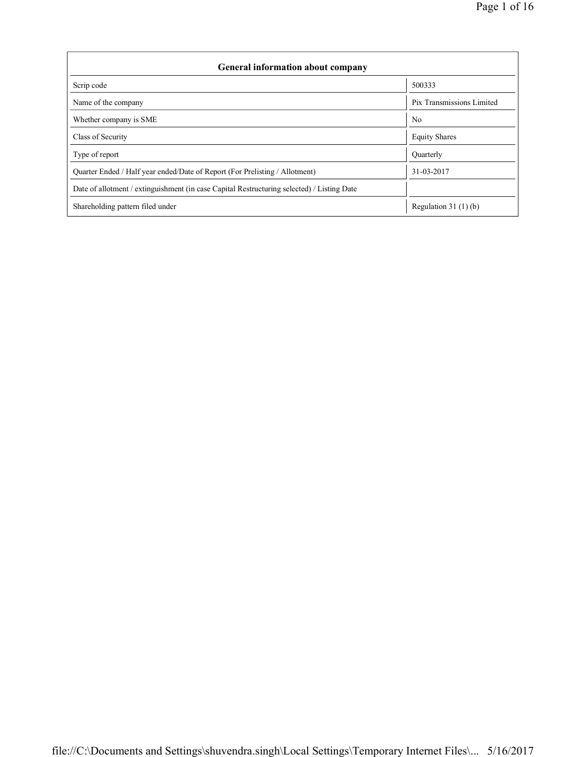| <b>General information about company</b>                                                   |                           |
|--------------------------------------------------------------------------------------------|---------------------------|
| Scrip code                                                                                 | 500333                    |
| Name of the company                                                                        | Pix Transmissions Limited |
| Whether company is SME                                                                     | N <sub>0</sub>            |
| Class of Security                                                                          | <b>Equity Shares</b>      |
| Type of report                                                                             | Quarterly                 |
| Quarter Ended / Half year ended/Date of Report (For Prelisting / Allotment)                | 31-03-2017                |
| Date of allotment / extinguishment (in case Capital Restructuring selected) / Listing Date |                           |
| Shareholding pattern filed under                                                           | Regulation $31(1)(b)$     |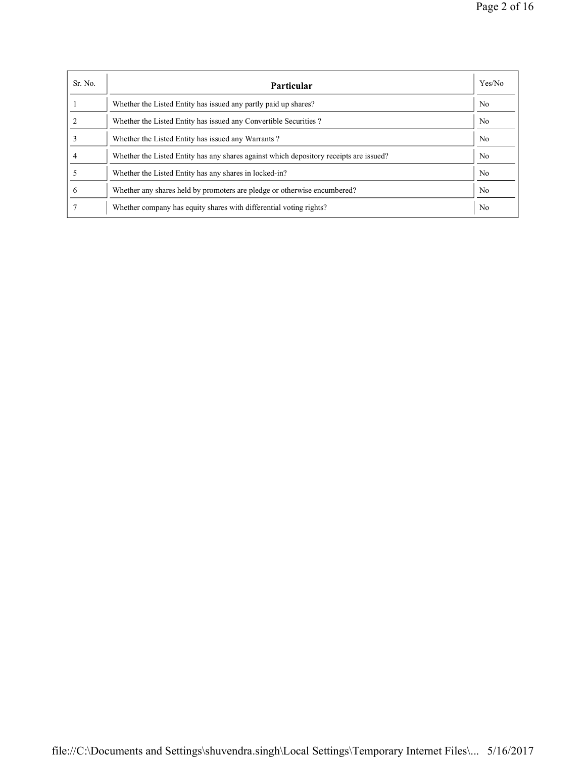| Sr. No. | <b>Particular</b>                                                                      | Yes/No         |
|---------|----------------------------------------------------------------------------------------|----------------|
|         | Whether the Listed Entity has issued any partly paid up shares?                        | N <sub>0</sub> |
|         | Whether the Listed Entity has issued any Convertible Securities?                       | N <sub>0</sub> |
|         | Whether the Listed Entity has issued any Warrants?                                     | N <sub>0</sub> |
|         | Whether the Listed Entity has any shares against which depository receipts are issued? | N <sub>0</sub> |
|         | Whether the Listed Entity has any shares in locked-in?                                 | N <sub>0</sub> |
| 6       | Whether any shares held by promoters are pledge or otherwise encumbered?               | N <sub>0</sub> |
|         | Whether company has equity shares with differential voting rights?                     | N <sub>0</sub> |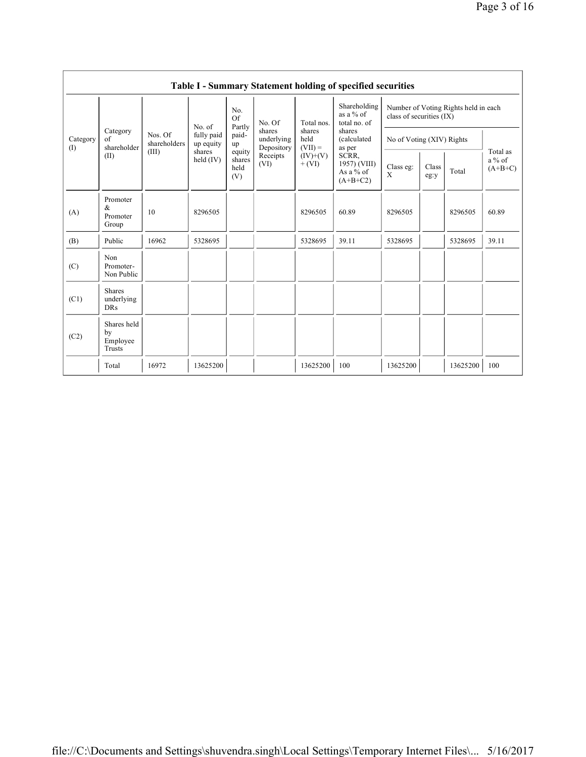|                 |                                           |                         |                         |                                 |                                    |                             | Table I - Summary Statement holding of specified securities |                           |               |                                      |                                   |
|-----------------|-------------------------------------------|-------------------------|-------------------------|---------------------------------|------------------------------------|-----------------------------|-------------------------------------------------------------|---------------------------|---------------|--------------------------------------|-----------------------------------|
|                 |                                           |                         | No. of                  | No.<br>Of                       | No. Of                             | Total nos.                  | Shareholding<br>as a $%$ of<br>total no. of                 | class of securities (IX)  |               | Number of Voting Rights held in each |                                   |
| Category<br>(I) | Category<br>of<br>shareholder             | Nos. Of<br>shareholders | fully paid<br>up equity | Partly<br>paid-<br>up           | shares<br>underlying<br>Depository | shares<br>held<br>$(VII) =$ | shares<br>(calculated<br>as per                             | No of Voting (XIV) Rights |               |                                      |                                   |
|                 | (II)                                      | (III)                   | shares<br>held $(IV)$   | equity<br>shares<br>held<br>(V) | Receipts<br>(VI)                   | $(IV)+(V)$<br>$+ (VI)$      | SCRR,<br>1957) (VIII)<br>As a % of<br>$(A+B+C2)$            | Class eg:<br>X            | Class<br>eg:y | Total                                | Total as<br>$a\%$ of<br>$(A+B+C)$ |
| (A)             | Promoter<br>&<br>Promoter<br>Group        | 10                      | 8296505                 |                                 |                                    | 8296505                     | 60.89                                                       | 8296505                   |               | 8296505                              | 60.89                             |
| (B)             | Public                                    | 16962                   | 5328695                 |                                 |                                    | 5328695                     | 39.11                                                       | 5328695                   |               | 5328695                              | 39.11                             |
| (C)             | Non<br>Promoter-<br>Non Public            |                         |                         |                                 |                                    |                             |                                                             |                           |               |                                      |                                   |
| (C1)            | <b>Shares</b><br>underlying<br><b>DRs</b> |                         |                         |                                 |                                    |                             |                                                             |                           |               |                                      |                                   |
| (C2)            | Shares held<br>by<br>Employee<br>Trusts   |                         |                         |                                 |                                    |                             |                                                             |                           |               |                                      |                                   |
|                 | Total                                     | 16972                   | 13625200                |                                 |                                    | 13625200                    | 100                                                         | 13625200                  |               | 13625200                             | 100                               |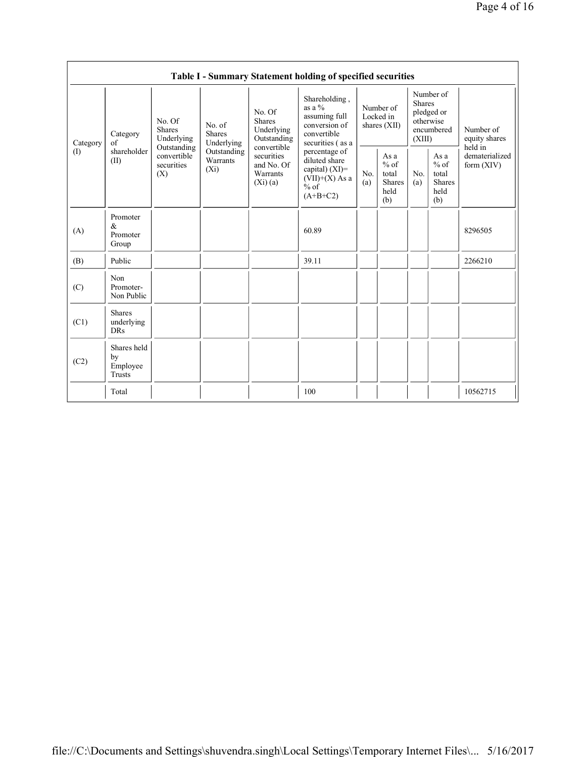|          |                                           |                                                 |                                       |                                                                | Table I - Summary Statement holding of specified securities                                     |            |                                                         |                         |                                                         |                                           |
|----------|-------------------------------------------|-------------------------------------------------|---------------------------------------|----------------------------------------------------------------|-------------------------------------------------------------------------------------------------|------------|---------------------------------------------------------|-------------------------|---------------------------------------------------------|-------------------------------------------|
| Category | Category<br>of                            | No. Of<br><b>Shares</b><br>Underlying           | No. of<br><b>Shares</b><br>Underlying | No. Of<br><b>Shares</b><br>Underlying<br>Outstanding           | Shareholding,<br>as a $\%$<br>assuming full<br>conversion of<br>convertible<br>securities (as a |            | Number of<br>Locked in<br>shares $(XII)$                | <b>Shares</b><br>(XIII) | Number of<br>pledged or<br>otherwise<br>encumbered      | Number of<br>equity shares                |
| (1)      | shareholder<br>(II)                       | Outstanding<br>convertible<br>securities<br>(X) | Outstanding<br>Warrants<br>$(X_i)$    | convertible<br>securities<br>and No. Of<br>Warrants<br>(Xi)(a) | percentage of<br>diluted share<br>capital) (XI)=<br>$(VII)+(X)$ As a<br>$%$ of<br>$(A+B+C2)$    | No.<br>(a) | As a<br>$%$ of<br>total<br><b>Shares</b><br>held<br>(b) | No.<br>(a)              | As a<br>$%$ of<br>total<br><b>Shares</b><br>held<br>(b) | held in<br>dematerialized<br>form $(XIV)$ |
| (A)      | Promoter<br>&<br>Promoter<br>Group        |                                                 |                                       |                                                                | 60.89                                                                                           |            |                                                         |                         |                                                         | 8296505                                   |
| (B)      | Public                                    |                                                 |                                       |                                                                | 39.11                                                                                           |            |                                                         |                         |                                                         | 2266210                                   |
| (C)      | Non<br>Promoter-<br>Non Public            |                                                 |                                       |                                                                |                                                                                                 |            |                                                         |                         |                                                         |                                           |
| (C1)     | <b>Shares</b><br>underlying<br><b>DRs</b> |                                                 |                                       |                                                                |                                                                                                 |            |                                                         |                         |                                                         |                                           |
| (C2)     | Shares held<br>by<br>Employee<br>Trusts   |                                                 |                                       |                                                                |                                                                                                 |            |                                                         |                         |                                                         |                                           |
|          | Total                                     |                                                 |                                       |                                                                | 100                                                                                             |            |                                                         |                         |                                                         | 10562715                                  |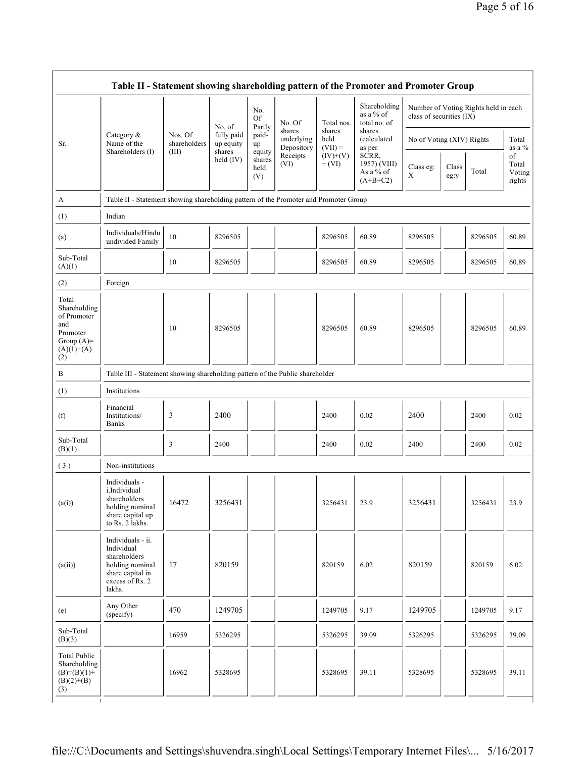|                                                                                                 | Table II - Statement showing shareholding pattern of the Promoter and Promoter Group                                |                         |                         |                                 |                                    |                             |                                                  |                           |               |                                      |                                 |
|-------------------------------------------------------------------------------------------------|---------------------------------------------------------------------------------------------------------------------|-------------------------|-------------------------|---------------------------------|------------------------------------|-----------------------------|--------------------------------------------------|---------------------------|---------------|--------------------------------------|---------------------------------|
|                                                                                                 |                                                                                                                     |                         | No. of                  | No.<br>Of<br>Partly             | No. Of                             | Total nos.                  | Shareholding<br>as a % of<br>total no. of        | class of securities (IX)  |               | Number of Voting Rights held in each |                                 |
| Sr.                                                                                             | Category $\&$<br>Name of the                                                                                        | Nos. Of<br>shareholders | fully paid<br>up equity | paid-<br>up                     | shares<br>underlying<br>Depository | shares<br>held<br>$(VII) =$ | shares<br>(calculated<br>as per                  | No of Voting (XIV) Rights |               |                                      | Total<br>as a %                 |
|                                                                                                 | Shareholders (I)                                                                                                    | (III)                   | shares<br>held $(IV)$   | equity<br>shares<br>held<br>(V) | Receipts<br>(VI)                   | $(IV)+(V)$<br>$+ (VI)$      | SCRR,<br>1957) (VIII)<br>As a % of<br>$(A+B+C2)$ | Class eg:<br>X            | Class<br>eg:y | Total                                | of<br>Total<br>Voting<br>rights |
| A                                                                                               | Table II - Statement showing shareholding pattern of the Promoter and Promoter Group                                |                         |                         |                                 |                                    |                             |                                                  |                           |               |                                      |                                 |
| (1)                                                                                             | Indian                                                                                                              |                         |                         |                                 |                                    |                             |                                                  |                           |               |                                      |                                 |
| (a)                                                                                             | Individuals/Hindu<br>undivided Family                                                                               | 10                      | 8296505                 |                                 |                                    | 8296505                     | 60.89                                            | 8296505                   |               | 8296505                              | 60.89                           |
| Sub-Total<br>(A)(1)                                                                             |                                                                                                                     | 10                      | 8296505                 |                                 |                                    | 8296505                     | 60.89                                            | 8296505                   |               | 8296505                              | 60.89                           |
| (2)                                                                                             | Foreign                                                                                                             |                         |                         |                                 |                                    |                             |                                                  |                           |               |                                      |                                 |
| Total<br>Shareholding<br>of Promoter<br>and<br>Promoter<br>Group $(A)$ =<br>$(A)(1)+(A)$<br>(2) |                                                                                                                     | 10                      | 8296505                 |                                 |                                    | 8296505                     | 60.89                                            | 8296505                   |               | 8296505                              | 60.89                           |
| B                                                                                               | Table III - Statement showing shareholding pattern of the Public shareholder                                        |                         |                         |                                 |                                    |                             |                                                  |                           |               |                                      |                                 |
| (1)                                                                                             | Institutions                                                                                                        |                         |                         |                                 |                                    |                             |                                                  |                           |               |                                      |                                 |
| (f)                                                                                             | Financial<br>Institutions/<br><b>Banks</b>                                                                          | 3                       | 2400                    |                                 |                                    | 2400                        | 0.02                                             | 2400                      |               | 2400                                 | 0.02                            |
| Sub-Total<br>(B)(1)                                                                             |                                                                                                                     | 3                       | 2400                    |                                 |                                    | 2400                        | 0.02                                             | 2400                      |               | 2400                                 | 0.02                            |
| (3)                                                                                             | Non-institutions                                                                                                    |                         |                         |                                 |                                    |                             |                                                  |                           |               |                                      |                                 |
| (a(i))                                                                                          | Individuals -<br>i.Individual<br>shareholders<br>holding nominal<br>share capital up<br>to Rs. 2 lakhs.             | 16472                   | 3256431                 |                                 |                                    | 3256431                     | 23.9                                             | 3256431                   |               | 3256431                              | 23.9                            |
| (a(ii))                                                                                         | Individuals - ii.<br>Individual<br>shareholders<br>holding nominal<br>share capital in<br>excess of Rs. 2<br>lakhs. | 17                      | 820159                  |                                 |                                    | 820159                      | 6.02                                             | 820159                    |               | 820159                               | 6.02                            |
| (e)                                                                                             | Any Other<br>(specify)                                                                                              | 470                     | 1249705                 |                                 |                                    | 1249705                     | 9.17                                             | 1249705                   |               | 1249705                              | 9.17                            |
| Sub-Total<br>(B)(3)                                                                             |                                                                                                                     | 16959                   | 5326295                 |                                 |                                    | 5326295                     | 39.09                                            | 5326295                   |               | 5326295                              | 39.09                           |
| <b>Total Public</b><br>Shareholding                                                             |                                                                                                                     |                         |                         |                                 |                                    |                             |                                                  |                           |               |                                      |                                 |

 $(B)= (B)(1) +$  $(B)(2)+(B)$  $(3)$ 

 $\overline{\mathbf{I}}$ 

16962 5328695 5328695 39.11 5328695 5328695 39.11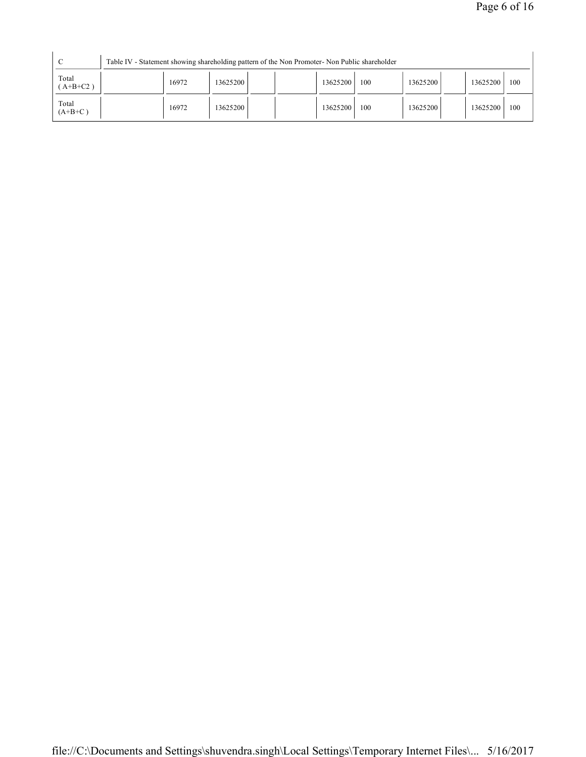| C                   |       | Table IV - Statement showing shareholding pattern of the Non Promoter- Non Public shareholder |          |     |          |          |     |
|---------------------|-------|-----------------------------------------------------------------------------------------------|----------|-----|----------|----------|-----|
| Total<br>$(A+B+C2)$ | 16972 | 13625200                                                                                      | 13625200 | 100 | 13625200 | 13625200 | 100 |
| Total<br>$(A+B+C)$  | 16972 | 13625200                                                                                      | 13625200 | 100 | 13625200 | 13625200 | 100 |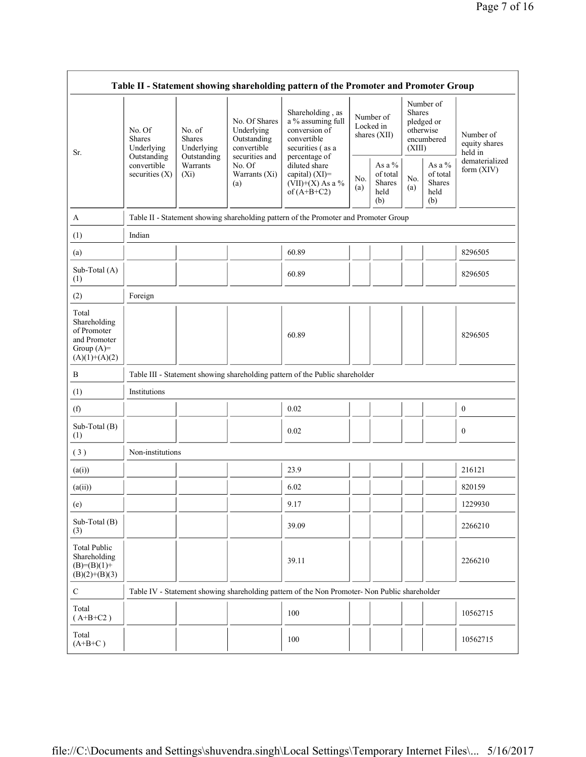|                                                                                         |                                                      |                                                      |                                                                             | Table II - Statement showing shareholding pattern of the Promoter and Promoter Group                       |                                          |                                                    |                                                                               |                                                       |                                       |
|-----------------------------------------------------------------------------------------|------------------------------------------------------|------------------------------------------------------|-----------------------------------------------------------------------------|------------------------------------------------------------------------------------------------------------|------------------------------------------|----------------------------------------------------|-------------------------------------------------------------------------------|-------------------------------------------------------|---------------------------------------|
| Sr.                                                                                     | No. Of<br><b>Shares</b><br>Underlying<br>Outstanding | No. of<br><b>Shares</b><br>Underlying<br>Outstanding | No. Of Shares<br>Underlying<br>Outstanding<br>convertible<br>securities and | Shareholding, as<br>a % assuming full<br>conversion of<br>convertible<br>securities (as a<br>percentage of | Number of<br>Locked in<br>shares $(XII)$ |                                                    | Number of<br><b>Shares</b><br>pledged or<br>otherwise<br>encumbered<br>(XIII) |                                                       | Number of<br>equity shares<br>held in |
|                                                                                         | convertible<br>securities $(X)$                      | Warrants<br>$(X_i)$                                  | No. Of<br>Warrants (Xi)<br>(a)                                              | diluted share<br>capital) (XI)=<br>$(VII)+(X)$ As a %<br>of $(A+B+C2)$                                     | No.<br>(a)                               | As a %<br>of total<br><b>Shares</b><br>held<br>(b) | No.<br>(a)                                                                    | As a $\%$<br>of total<br><b>Shares</b><br>held<br>(b) | dematerialized<br>form (XIV)          |
| A                                                                                       |                                                      |                                                      |                                                                             | Table II - Statement showing shareholding pattern of the Promoter and Promoter Group                       |                                          |                                                    |                                                                               |                                                       |                                       |
| (1)                                                                                     | Indian                                               |                                                      |                                                                             |                                                                                                            |                                          |                                                    |                                                                               |                                                       |                                       |
| (a)                                                                                     |                                                      |                                                      |                                                                             | 60.89                                                                                                      |                                          |                                                    |                                                                               |                                                       | 8296505                               |
| Sub-Total (A)<br>(1)                                                                    |                                                      |                                                      |                                                                             | 60.89                                                                                                      |                                          |                                                    |                                                                               |                                                       | 8296505                               |
| (2)                                                                                     | Foreign                                              |                                                      |                                                                             |                                                                                                            |                                          |                                                    |                                                                               |                                                       |                                       |
| Total<br>Shareholding<br>of Promoter<br>and Promoter<br>Group $(A)=$<br>$(A)(1)+(A)(2)$ |                                                      |                                                      |                                                                             | 60.89                                                                                                      |                                          |                                                    |                                                                               |                                                       | 8296505                               |
| B                                                                                       |                                                      |                                                      |                                                                             | Table III - Statement showing shareholding pattern of the Public shareholder                               |                                          |                                                    |                                                                               |                                                       |                                       |
| (1)                                                                                     | Institutions                                         |                                                      |                                                                             |                                                                                                            |                                          |                                                    |                                                                               |                                                       |                                       |
| (f)                                                                                     |                                                      |                                                      |                                                                             | 0.02                                                                                                       |                                          |                                                    |                                                                               |                                                       | $\boldsymbol{0}$                      |
| Sub-Total (B)<br>(1)                                                                    |                                                      |                                                      |                                                                             | 0.02                                                                                                       |                                          |                                                    |                                                                               |                                                       | $\mathbf{0}$                          |
| (3)                                                                                     | Non-institutions                                     |                                                      |                                                                             |                                                                                                            |                                          |                                                    |                                                                               |                                                       |                                       |
| (a(i))                                                                                  |                                                      |                                                      |                                                                             | 23.9                                                                                                       |                                          |                                                    |                                                                               |                                                       | 216121                                |
| (a(ii))                                                                                 |                                                      |                                                      |                                                                             | 6.02                                                                                                       |                                          |                                                    |                                                                               |                                                       | 820159                                |
| (e)                                                                                     |                                                      |                                                      |                                                                             | 9.17                                                                                                       |                                          |                                                    |                                                                               |                                                       | 1229930                               |
| Sub-Total (B)<br>(3)                                                                    |                                                      |                                                      |                                                                             | 39.09                                                                                                      |                                          |                                                    |                                                                               |                                                       | 2266210                               |
| <b>Total Public</b><br>Shareholding<br>$(B)= (B)(1) +$<br>$(B)(2)+(B)(3)$               |                                                      |                                                      |                                                                             | 39.11                                                                                                      |                                          |                                                    |                                                                               |                                                       | 2266210                               |
| $\mathsf{C}$                                                                            |                                                      |                                                      |                                                                             | Table IV - Statement showing shareholding pattern of the Non Promoter- Non Public shareholder              |                                          |                                                    |                                                                               |                                                       |                                       |
| Total<br>$(A+B+C2)$                                                                     |                                                      |                                                      |                                                                             | 100                                                                                                        |                                          |                                                    |                                                                               |                                                       | 10562715                              |
| Total<br>$(A+B+C)$                                                                      |                                                      |                                                      |                                                                             | 100                                                                                                        |                                          |                                                    |                                                                               |                                                       | 10562715                              |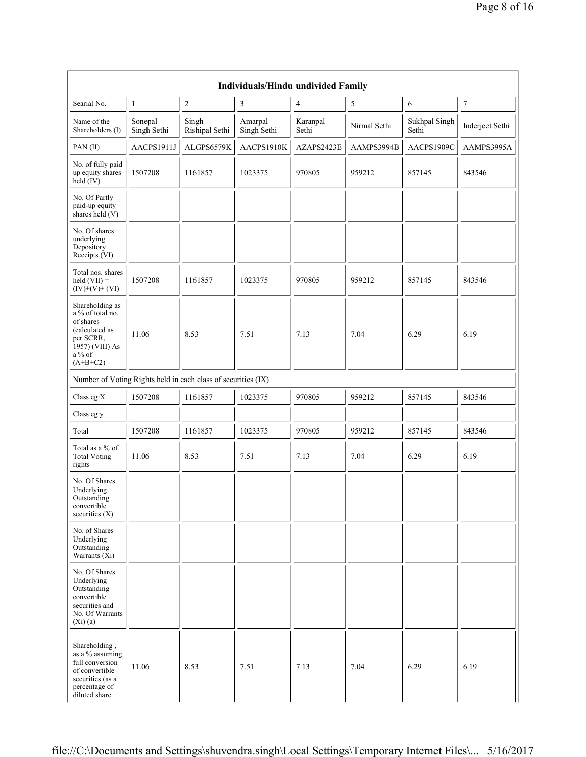|                                                                                                                             |                        |                                                               | Individuals/Hindu undivided Family |                   |              |                        |                  |
|-----------------------------------------------------------------------------------------------------------------------------|------------------------|---------------------------------------------------------------|------------------------------------|-------------------|--------------|------------------------|------------------|
| Searial No.                                                                                                                 | $\mathbf{1}$           | $\overline{2}$                                                | 3                                  | $\overline{4}$    | 5            | 6                      | $\boldsymbol{7}$ |
| Name of the<br>Shareholders (I)                                                                                             | Sonepal<br>Singh Sethi | Singh<br>Rishipal Sethi                                       | Amarpal<br>Singh Sethi             | Karanpal<br>Sethi | Nirmal Sethi | Sukhpal Singh<br>Sethi | Inderjeet Sethi  |
| PAN(II)                                                                                                                     | AACPS1911J             | ALGPS6579K                                                    | AACPS1910K                         | AZAPS2423E        | AAMPS3994B   | AACPS1909C             | AAMPS3995A       |
| No. of fully paid<br>up equity shares<br>$\text{held} (IV)$                                                                 | 1507208                | 1161857                                                       | 1023375                            | 970805            | 959212       | 857145                 | 843546           |
| No. Of Partly<br>paid-up equity<br>shares held (V)                                                                          |                        |                                                               |                                    |                   |              |                        |                  |
| No. Of shares<br>underlying<br>Depository<br>Receipts (VI)                                                                  |                        |                                                               |                                    |                   |              |                        |                  |
| Total nos. shares<br>held $(VII) =$<br>$(IV)+(V)+(VI)$                                                                      | 1507208                | 1161857                                                       | 1023375                            | 970805            | 959212       | 857145                 | 843546           |
| Shareholding as<br>a % of total no.<br>of shares<br>(calculated as<br>per SCRR,<br>1957) (VIII) As<br>a % of<br>$(A+B+C2)$  | 11.06                  | 8.53                                                          | 7.51                               | 7.13              | 7.04         | 6.29                   | 6.19             |
|                                                                                                                             |                        | Number of Voting Rights held in each class of securities (IX) |                                    |                   |              |                        |                  |
| Class eg: $X$                                                                                                               | 1507208                | 1161857                                                       | 1023375                            | 970805            | 959212       | 857145                 | 843546           |
| Class eg:y                                                                                                                  |                        |                                                               |                                    |                   |              |                        |                  |
| Total                                                                                                                       | 1507208                | 1161857                                                       | 1023375                            | 970805            | 959212       | 857145                 | 843546           |
| Total as a % of<br><b>Total Voting</b><br>rights                                                                            | 11.06                  | 8.53                                                          | 7.51                               | 7.13              | 7.04         | 6.29                   | 6.19             |
| No. Of Shares<br>Underlying<br>Outstanding<br>convertible<br>securities $(X)$                                               |                        |                                                               |                                    |                   |              |                        |                  |
| No. of Shares<br>Underlying<br>Outstanding<br>Warrants (Xi)                                                                 |                        |                                                               |                                    |                   |              |                        |                  |
| No. Of Shares<br>Underlying<br>Outstanding<br>convertible<br>securities and<br>No. Of Warrants<br>(Xi)(a)                   |                        |                                                               |                                    |                   |              |                        |                  |
| Shareholding,<br>as a % assuming<br>full conversion<br>of convertible<br>securities (as a<br>percentage of<br>diluted share | 11.06                  | 8.53                                                          | 7.51                               | 7.13              | 7.04         | 6.29                   | 6.19             |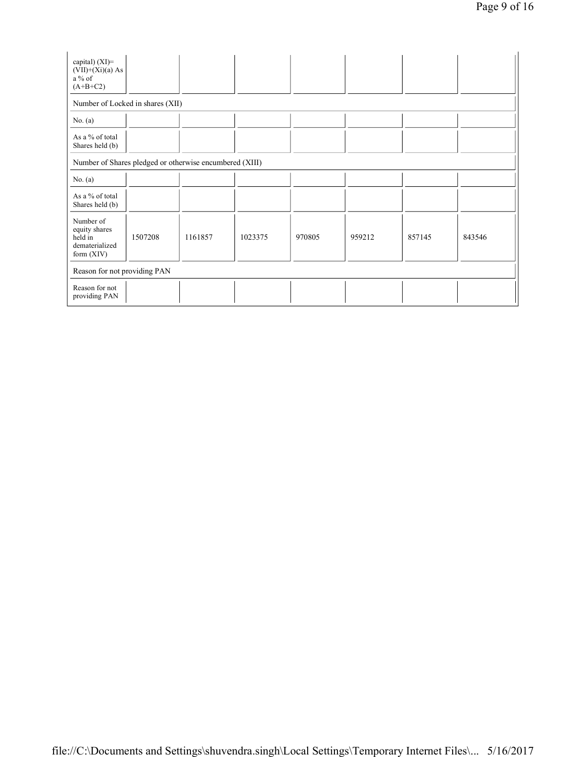| capital) $(XI)=$<br>$(VII)+(Xi)(a) As$<br>$a\%$ of<br>$(A+B+C2)$        |         |         |         |        |        |        |        |
|-------------------------------------------------------------------------|---------|---------|---------|--------|--------|--------|--------|
| Number of Locked in shares (XII)                                        |         |         |         |        |        |        |        |
| No. $(a)$                                                               |         |         |         |        |        |        |        |
| As a % of total<br>Shares held (b)                                      |         |         |         |        |        |        |        |
| Number of Shares pledged or otherwise encumbered (XIII)                 |         |         |         |        |        |        |        |
| No. $(a)$                                                               |         |         |         |        |        |        |        |
| As a % of total<br>Shares held (b)                                      |         |         |         |        |        |        |        |
| Number of<br>equity shares<br>held in<br>dematerialized<br>form $(XIV)$ | 1507208 | 1161857 | 1023375 | 970805 | 959212 | 857145 | 843546 |
| Reason for not providing PAN                                            |         |         |         |        |        |        |        |
| Reason for not<br>providing PAN                                         |         |         |         |        |        |        |        |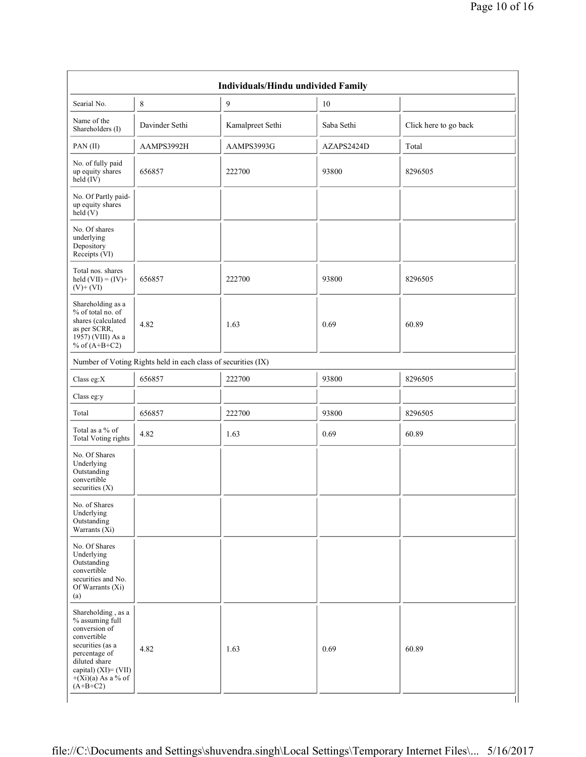| Searial No.                                                                                                                                                                                  | 8                                                             | $\overline{9}$   | 10         |                       |
|----------------------------------------------------------------------------------------------------------------------------------------------------------------------------------------------|---------------------------------------------------------------|------------------|------------|-----------------------|
| Name of the<br>Shareholders (I)                                                                                                                                                              | Davinder Sethi                                                | Kamalpreet Sethi | Saba Sethi | Click here to go back |
| PAN(II)                                                                                                                                                                                      | AAMPS3992H                                                    | AAMPS3993G       | AZAPS2424D | Total                 |
| No. of fully paid<br>up equity shares<br>held (IV)                                                                                                                                           | 656857                                                        | 222700           | 93800      | 8296505               |
| No. Of Partly paid-<br>up equity shares<br>held(V)                                                                                                                                           |                                                               |                  |            |                       |
| No. Of shares<br>underlying<br>Depository<br>Receipts (VI)                                                                                                                                   |                                                               |                  |            |                       |
| Total nos. shares<br>held $(VII) = (IV) +$<br>$(V)+(VI)$                                                                                                                                     | 656857                                                        | 222700           | 93800      | 8296505               |
| Shareholding as a<br>$%$ of total no. of<br>shares (calculated<br>as per SCRR,<br>$19\overline{57}$ ) (VIII) As a<br>% of $(A+B+C2)$                                                         | 4.82                                                          | 1.63             | 0.69       | 60.89                 |
|                                                                                                                                                                                              | Number of Voting Rights held in each class of securities (IX) |                  |            |                       |
| Class eg: $X$                                                                                                                                                                                | 656857                                                        | 222700           | 93800      | 8296505               |
| Class eg:y                                                                                                                                                                                   |                                                               |                  |            |                       |
| Total                                                                                                                                                                                        | 656857                                                        | 222700           | 93800      | 8296505               |
| Total as a % of<br><b>Total Voting rights</b>                                                                                                                                                | 4.82                                                          | 1.63             | 0.69       | 60.89                 |
| No. Of Shares<br>Underlying<br>Outstanding<br>convertible<br>securities $(X)$                                                                                                                |                                                               |                  |            |                       |
| No. of Shares<br>Underlying<br>Outstanding<br>Warrants (Xi)                                                                                                                                  |                                                               |                  |            |                       |
| No. Of Shares<br>Underlying<br>Outstanding<br>convertible<br>securities and No.<br>Of Warrants (Xi)<br>(a)                                                                                   |                                                               |                  |            |                       |
| Shareholding, as a<br>% assuming full<br>conversion of<br>convertible<br>securities (as a<br>percentage of<br>diluted share<br>capital) $(XI) = (VII)$<br>$+(Xi)(a)$ As a % of<br>$(A+B+C2)$ | 4.82                                                          | 1.63             | 0.69       | 60.89                 |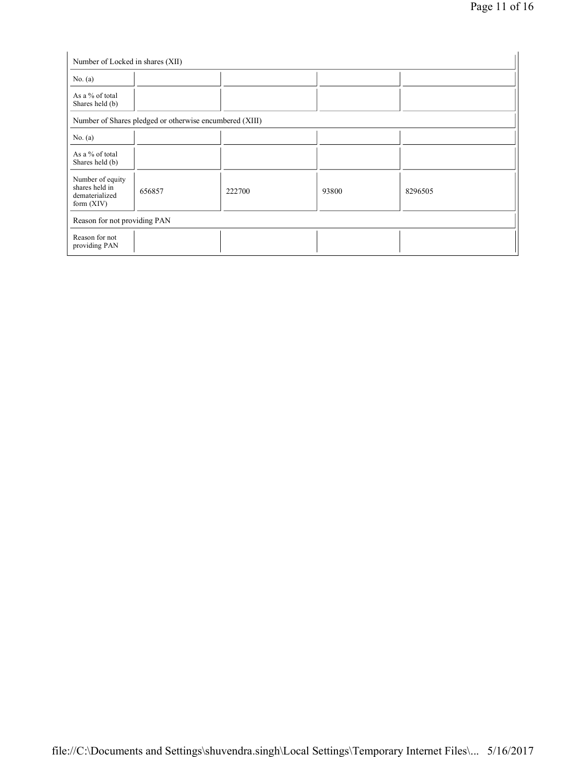| Number of Locked in shares (XII)                                     |                                                         |        |       |         |
|----------------------------------------------------------------------|---------------------------------------------------------|--------|-------|---------|
| No. $(a)$                                                            |                                                         |        |       |         |
| As a % of total<br>Shares held (b)                                   |                                                         |        |       |         |
|                                                                      | Number of Shares pledged or otherwise encumbered (XIII) |        |       |         |
| No. $(a)$                                                            |                                                         |        |       |         |
| As a % of total<br>Shares held (b)                                   |                                                         |        |       |         |
| Number of equity<br>shares held in<br>dematerialized<br>form $(XIV)$ | 656857                                                  | 222700 | 93800 | 8296505 |
| Reason for not providing PAN                                         |                                                         |        |       |         |
| Reason for not<br>providing PAN                                      |                                                         |        |       |         |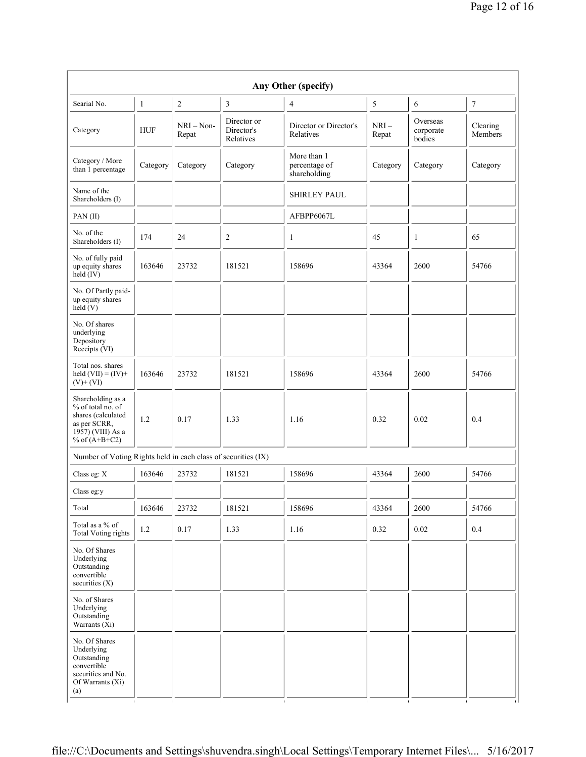|                                                                                                                      |              |                       |                                        | Any Other (specify)                          |                 |                                 |                     |
|----------------------------------------------------------------------------------------------------------------------|--------------|-----------------------|----------------------------------------|----------------------------------------------|-----------------|---------------------------------|---------------------|
| Searial No.                                                                                                          | $\mathbf{1}$ | $\overline{2}$        | 3                                      | $\overline{4}$                               | 5               | 6                               | $\boldsymbol{7}$    |
| Category                                                                                                             | <b>HUF</b>   | $NRI - Non-$<br>Repat | Director or<br>Director's<br>Relatives | Director or Director's<br>Relatives          | $NRI-$<br>Repat | Overseas<br>corporate<br>bodies | Clearing<br>Members |
| Category / More<br>than 1 percentage                                                                                 | Category     | Category              | Category                               | More than 1<br>percentage of<br>shareholding | Category        | Category                        | Category            |
| Name of the<br>Shareholders (I)                                                                                      |              |                       |                                        | <b>SHIRLEY PAUL</b>                          |                 |                                 |                     |
| PAN(II)                                                                                                              |              |                       |                                        | AFBPP6067L                                   |                 |                                 |                     |
| No. of the<br>Shareholders (I)                                                                                       | 174          | 24                    | 2                                      | $\mathbf{1}$                                 | 45              | 1                               | 65                  |
| No. of fully paid<br>up equity shares<br>held (IV)                                                                   | 163646       | 23732                 | 181521                                 | 158696                                       | 43364           | 2600                            | 54766               |
| No. Of Partly paid-<br>up equity shares<br>held(V)                                                                   |              |                       |                                        |                                              |                 |                                 |                     |
| No. Of shares<br>underlying<br>Depository<br>Receipts (VI)                                                           |              |                       |                                        |                                              |                 |                                 |                     |
| Total nos. shares<br>held $(VII) = (IV) +$<br>$(V)+(VI)$                                                             | 163646       | 23732                 | 181521                                 | 158696                                       | 43364           | 2600                            | 54766               |
| Shareholding as a<br>% of total no. of<br>shares (calculated<br>as per SCRR,<br>1957) (VIII) As a<br>% of $(A+B+C2)$ | 1.2          | 0.17                  | 1.33                                   | 1.16                                         | 0.32            | 0.02                            | 0.4                 |
| Number of Voting Rights held in each class of securities (IX)                                                        |              |                       |                                        |                                              |                 |                                 |                     |
| Class eg: X                                                                                                          | 163646       | 23732                 | 181521                                 | 158696                                       | 43364           | 2600                            | 54766               |
| Class eg:y                                                                                                           |              |                       |                                        |                                              |                 |                                 |                     |
| Total                                                                                                                | 163646       | 23732                 | 181521                                 | 158696                                       | 43364           | 2600                            | 54766               |
| Total as a % of<br>Total Voting rights                                                                               | 1.2          | 0.17                  | 1.33                                   | 1.16                                         | 0.32            | 0.02                            | 0.4                 |
| No. Of Shares<br>Underlying<br>Outstanding<br>convertible<br>securities $(X)$                                        |              |                       |                                        |                                              |                 |                                 |                     |
| No. of Shares<br>Underlying<br>Outstanding<br>Warrants $(X_i)$                                                       |              |                       |                                        |                                              |                 |                                 |                     |
| No. Of Shares<br>Underlying<br>Outstanding<br>convertible<br>securities and No.<br>Of Warrants (Xi)<br>(a)           |              |                       |                                        |                                              |                 |                                 |                     |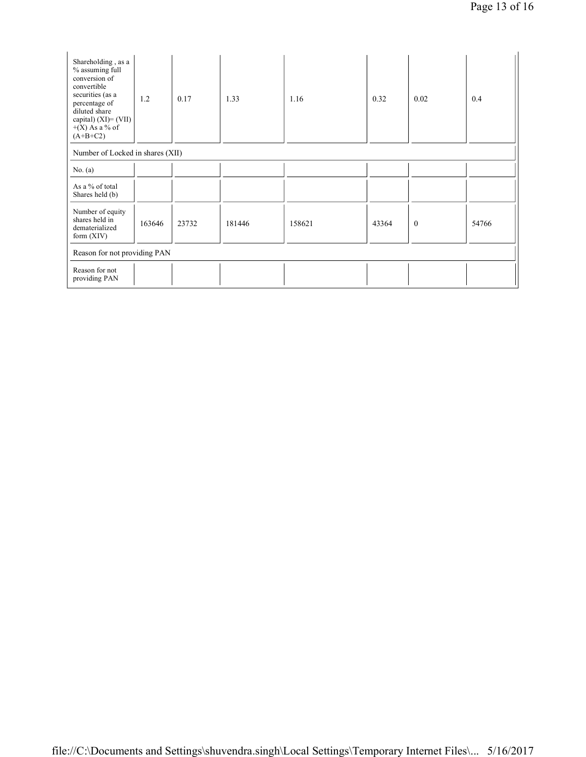| Shareholding, as a<br>% assuming full<br>conversion of<br>convertible<br>securities (as a<br>percentage of<br>diluted share<br>capital) $(XI) = (VII)$<br>$+(X)$ As a % of<br>$(A+B+C2)$ | 1.2    | 0.17  | 1.33   | 1.16   | 0.32  | 0.02         | 0.4   |  |
|------------------------------------------------------------------------------------------------------------------------------------------------------------------------------------------|--------|-------|--------|--------|-------|--------------|-------|--|
| Number of Locked in shares (XII)                                                                                                                                                         |        |       |        |        |       |              |       |  |
| No. $(a)$                                                                                                                                                                                |        |       |        |        |       |              |       |  |
| As a % of total<br>Shares held (b)                                                                                                                                                       |        |       |        |        |       |              |       |  |
| Number of equity<br>shares held in<br>dematerialized<br>form $(XIV)$                                                                                                                     | 163646 | 23732 | 181446 | 158621 | 43364 | $\mathbf{0}$ | 54766 |  |
| Reason for not providing PAN                                                                                                                                                             |        |       |        |        |       |              |       |  |
| Reason for not<br>providing PAN                                                                                                                                                          |        |       |        |        |       |              |       |  |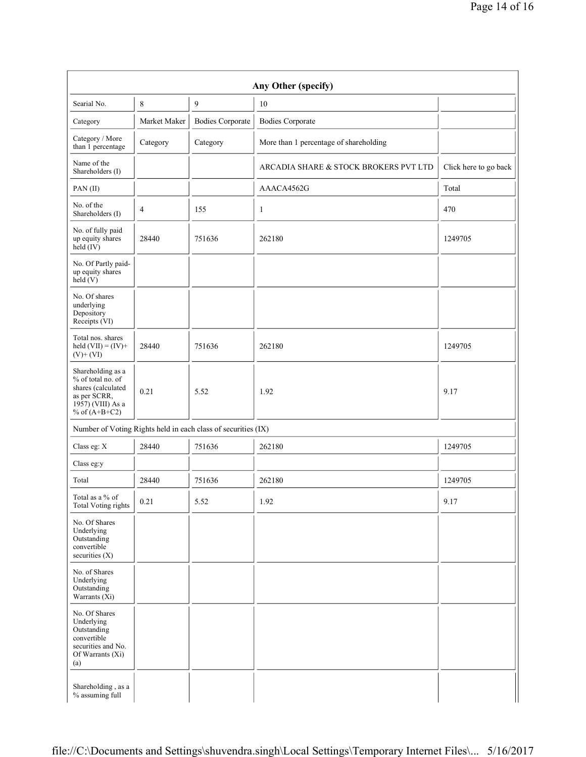| Searial No.                                                                                                                        | 8            | 9                                                             | 10                                     |                       |
|------------------------------------------------------------------------------------------------------------------------------------|--------------|---------------------------------------------------------------|----------------------------------------|-----------------------|
| Category                                                                                                                           | Market Maker | <b>Bodies Corporate</b>                                       | <b>Bodies Corporate</b>                |                       |
| Category / More<br>than 1 percentage                                                                                               | Category     | Category                                                      | More than 1 percentage of shareholding |                       |
| Name of the<br>Shareholders (I)                                                                                                    |              |                                                               | ARCADIA SHARE & STOCK BROKERS PVT LTD  | Click here to go back |
| PAN(II)                                                                                                                            |              |                                                               | AAACA4562G                             | Total                 |
| No. of the<br>Shareholders (I)                                                                                                     | 4            | 155                                                           | 1                                      | 470                   |
| No. of fully paid<br>up equity shares<br>28440<br>$\text{held}(\text{IV})$                                                         |              | 751636                                                        | 262180                                 | 1249705               |
| No. Of Partly paid-<br>up equity shares<br>held $(V)$                                                                              |              |                                                               |                                        |                       |
| No. Of shares<br>underlying<br>Depository<br>Receipts (VI)                                                                         |              |                                                               |                                        |                       |
| Total nos. shares<br>held $(VII) = (IV) +$<br>$(V) + (VI)$                                                                         | 28440        | 751636                                                        | 262180                                 | 1249705               |
| Shareholding as a<br>% of total no. of<br>shares (calculated<br>as per SCRR,<br>$19\overline{57}$ ) (VIII) As a<br>% of $(A+B+C2)$ | 0.21         | 5.52                                                          | 1.92                                   | 9.17                  |
|                                                                                                                                    |              | Number of Voting Rights held in each class of securities (IX) |                                        |                       |
| Class eg: X                                                                                                                        | 28440        | 751636                                                        | 262180                                 | 1249705               |
| Class eg:y                                                                                                                         |              |                                                               |                                        |                       |
| Total                                                                                                                              | 28440        | 751636                                                        | 262180                                 | 1249705               |
| Total as a % of<br><b>Total Voting rights</b>                                                                                      | 0.21         | 5.52                                                          | 1.92                                   | 9.17                  |
| No. Of Shares<br>Underlying<br>Outstanding<br>convertible<br>securities $(X)$                                                      |              |                                                               |                                        |                       |
| No. of Shares<br>Underlying<br>Outstanding<br>Warrants $(X_i)$                                                                     |              |                                                               |                                        |                       |
| No. Of Shares<br>Underlying<br>Outstanding<br>convertible<br>securities and No.<br>Of Warrants (Xi)<br>(a)                         |              |                                                               |                                        |                       |
| Shareholding, as a<br>% assuming full                                                                                              |              |                                                               |                                        |                       |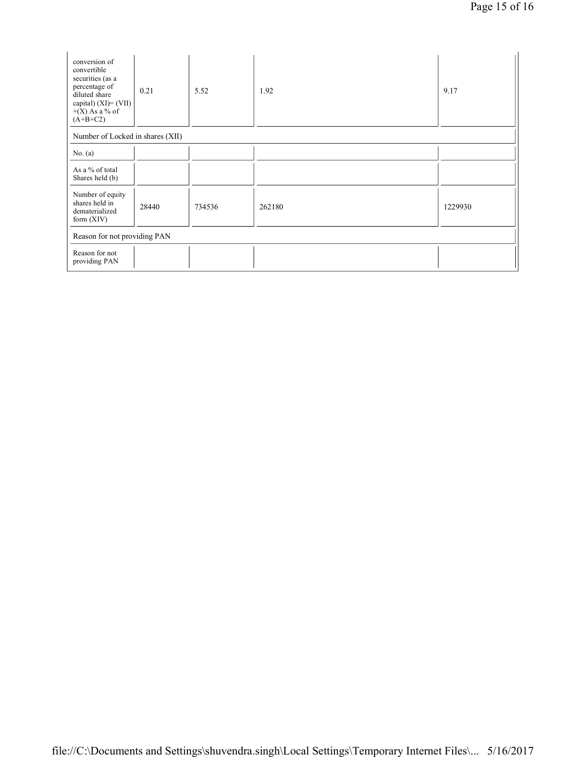| conversion of<br>convertible<br>securities (as a<br>percentage of<br>diluted share<br>capital) $(XI) = (VII)$<br>$+(X)$ As a % of<br>$(A+B+C2)$ | 0.21  | 5.52   | 1.92   | 9.17    |  |  |  |
|-------------------------------------------------------------------------------------------------------------------------------------------------|-------|--------|--------|---------|--|--|--|
| Number of Locked in shares (XII)                                                                                                                |       |        |        |         |  |  |  |
| No. $(a)$                                                                                                                                       |       |        |        |         |  |  |  |
| As a % of total<br>Shares held (b)                                                                                                              |       |        |        |         |  |  |  |
| Number of equity<br>shares held in<br>dematerialized<br>form $(XIV)$                                                                            | 28440 | 734536 | 262180 | 1229930 |  |  |  |
| Reason for not providing PAN                                                                                                                    |       |        |        |         |  |  |  |
| Reason for not<br>providing PAN                                                                                                                 |       |        |        |         |  |  |  |